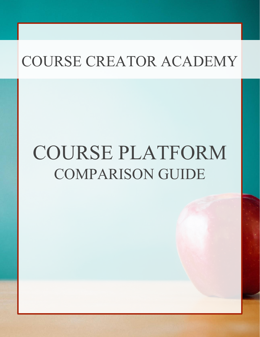# COURSE PLATFORM COMPARISON GUIDE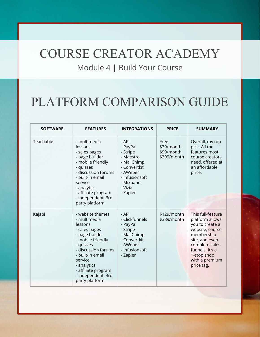#### Module 4 | Build Your Course

### PLATFORM COMPARISON GUIDE

| <b>SOFTWARE</b> | <b>FEATURES</b>                                                                                                                                                                                                                                      | <b>INTEGRATIONS</b>                                                                                                                            | <b>PRICE</b>                                    | <b>SUMMARY</b>                                                                                                                                                                                  |
|-----------------|------------------------------------------------------------------------------------------------------------------------------------------------------------------------------------------------------------------------------------------------------|------------------------------------------------------------------------------------------------------------------------------------------------|-------------------------------------------------|-------------------------------------------------------------------------------------------------------------------------------------------------------------------------------------------------|
| Teachable       | - multimedia<br>lessons<br>- sales pages<br>- page builder<br>- mobile friendly<br>- quizzes<br>- discussion forums<br>- built-in email<br>service<br>- analytics<br>- affiliate program<br>- independent, 3rd<br>party platform                     | $-$ API<br>- PayPal<br>- Stripe<br>- Maestro<br>- MailChimp<br>- Convertkit<br>- AWeber<br>- Infusionsoft<br>- Mixpanel<br>- Vizia<br>- Zapier | Free<br>\$39/month<br>\$99/month<br>\$399/month | Overall, my top<br>pick. All the<br>features most<br>course creators<br>need, offered at<br>an affordable<br>price.                                                                             |
| Kajabi          | - website themes<br>- multimedia<br>lessons<br>- sales pages<br>- page builder<br>- mobile friendly<br>- quizzes<br>- discussion forums<br>- built-in email<br>service<br>- analytics<br>- affiliate program<br>- independent, 3rd<br>party platform | $-$ API<br>- Clickfunnels<br>- PayPal<br>- Stripe<br>- MailChimp<br>- Convertkit<br>- AWeber<br>- Infusionsoft<br>- Zapier                     | \$129/month<br>\$389/month                      | This full-feature<br>platform allows<br>you to create a<br>website, course,<br>membership<br>site, and even<br>complete sales<br>funnels. It's a<br>1-stop shop<br>with a premium<br>price tag. |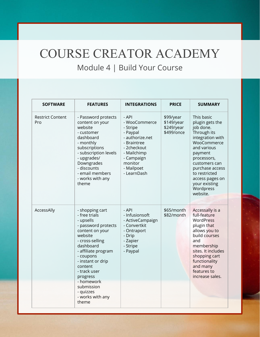#### Module 4 | Build Your Course

| <b>SOFTWARE</b>                | <b>FEATURES</b>                                                                                                                                                                                                                                                                                          | <b>INTEGRATIONS</b>                                                                                                                                                  | <b>PRICE</b>                                        | <b>SUMMARY</b>                                                                                                                                                                                                                                          |
|--------------------------------|----------------------------------------------------------------------------------------------------------------------------------------------------------------------------------------------------------------------------------------------------------------------------------------------------------|----------------------------------------------------------------------------------------------------------------------------------------------------------------------|-----------------------------------------------------|---------------------------------------------------------------------------------------------------------------------------------------------------------------------------------------------------------------------------------------------------------|
| <b>Restrict Content</b><br>Pro | - Password protects<br>content on your<br>website<br>- customer<br>dashboard<br>- monthly<br>subscriptions<br>- subscription levels<br>- upgrades/<br>Downgrades<br>- discounts<br>- email members<br>- works with any<br>theme                                                                          | - API<br>- WooCommerce<br>- Stripe<br>- Paypal<br>- authorize.net<br>- Braintree<br>- 2checkout<br>- Mailchimp<br>- Campaign<br>monitor<br>- Mailpoet<br>- LearnDash | \$99/year<br>\$149/year<br>\$249/year<br>\$499/once | This basic<br>plugin gets the<br>job done.<br>Through its<br>integration with<br>WooCommerce<br>and various<br>payment<br>processors,<br>customers can<br>purchase access<br>to restricted<br>access pages on<br>your existing<br>Wordpress<br>website. |
| AccessAlly                     | - shopping cart<br>- free trials<br>- upsells<br>- password protects<br>content on your<br>website<br>- cross-selling<br>dashboard<br>- affiliate program<br>- coupons<br>- instant or drip<br>content<br>- track user<br>progress<br>- homework<br>submission<br>- quizzes<br>- works with any<br>theme | - API<br>- Infusionsoft<br>- ActiveCampaign<br>- Convertkit<br>- Ontraport<br>- Drip<br>- Zapier<br>- Stripe<br>- Paypal                                             | \$65/month<br>\$82/month                            | Accessally is a<br>full-feature<br><b>WordPress</b><br>plugin that<br>allows you to<br>build courses<br>and<br>membership<br>sites. It includes<br>shopping cart<br>functionality<br>and many<br>features to<br>increase sales.                         |